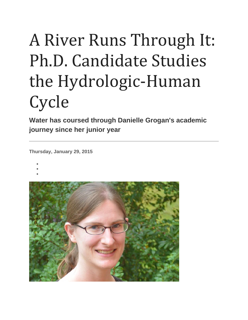# A River Runs Through It: Ph.D. Candidate Studies the Hydrologic-Human **Cycle**

**Water has coursed through Danielle Grogan's academic journey since her junior year**

**Thursday, January 29, 2015**

- •
- •
- •

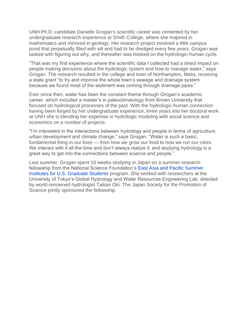UNH Ph.D. candidate Danielle Grogan's scientific career was cemented by her undergraduate research experience at Smith College, where she majored in mathematics and minored in geology. Her research project involved a little campus pond that perpetually filled with silt and had to be dredged every few years. Grogan was tasked with figuring out why, and thereafter was hooked on the hydrologic-human cycle.

"That was my first experience where the scientific data I collected had a direct impact on people making decisions about the hydrologic system and how to manage water," says Grogan. The research resulted in the college and town of Northampton, Mass, receiving a state grant "to try and improve the whole town's sewage and drainage system because we found most of the sediment was coming through drainage pipes."

Ever since then, water has been the constant theme through Grogan's academic career, which included a master's in paleoclimatology from Brown University that focused on hydrological processes of the past. With the hydrologic-human connection having been forged by her undergraduate experience, three years into her doctoral work at UNH she is blending her expertise in hydrologic modeling with social science and economics on a number of projects.

"I'm interested in the interactions between hydrology and people in terms of agriculture, urban development and climate change," says Grogan. "Water is such a basic, fundamental thing in our lives — from how we grow our food to how we run our cities. We interact with it all the time and don't always realize it, and studying hydrology is a great way to get into the connections between science and people."

Last summer, Grogan spent 10 weeks studying in Japan on a summer research fellowship from the National Science Foundation's [East Asia and Pacific Summer](http://www.nsf.gov/funding/pgm_summ.jsp?pims_id=5284)  [Institutes for U.S. Graduate Students](http://www.nsf.gov/funding/pgm_summ.jsp?pims_id=5284) program. She worked with researchers at the University of Tokyo's Global Hydrology and Water Resources Engineering Lab, directed by world-renowned hydrologist Taikan Oki. The Japan Society for the Promotion of Science jointly sponsored the fellowship.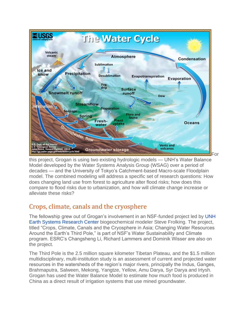

this project, Grogan is using two existing hydrologic models — UNH's Water Balance Model developed by the Water Systems Analysis Group (WSAG) over a period of decades — and the University of Tokyo's Catchment-based Macro-scale Floodplain model. The combined modeling will address a specific set of research questions: How does changing land use from forest to agriculture alter flood risks; how does this compare to flood risks due to urbanization, and how will climate change increase or alleviate these risks?

## Crops, climate, canals and the cryosphere

The fellowship grew out of Grogan's involvement in an NSF-funded project led by [UNH](http://www.csrc.sr.unh.edu/)  [Earth Systems Research Center](http://www.csrc.sr.unh.edu/) biogeochemical modeler Steve Frolking. The project, titled "Crops, Climate, Canals and the Cryosphere in Asia; Changing Water Resources Around the Earth's Third Pole," is part of NSF's Water Sustainability and Climate program. ESRC's Changsheng Li, Richard Lammers and Dominik Wisser are also on the project.

The Third Pole is the 2.5 million square kilometer Tibetan Plateau, and the \$1.5 million multidisciplinary, multi-institution study is an assessment of current and projected water resources in the watersheds of the region's major rivers, principally the Indus, Ganges, Brahmaputra, Salween, Mekong, Yangtze, Yellow, Amu Darya, Syr Darya and Irtysh. Grogan has used the Water Balance Model to estimate how much food is produced in China as a direct result of irrigation systems that use mined groundwater.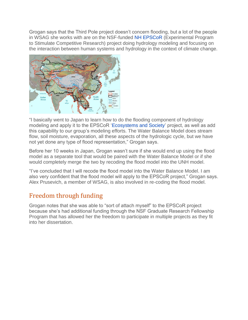Grogan says that the Third Pole project doesn't concern flooding, but a lot of the people in WSAG she works with are on the NSF-funded [NH EPSCoR](http://www.epscor.unh.edu/) (Experimental Program to Stimulate Competitive Research) project doing hydrology modeling and focusing on the interaction between human systems and hydrology in the context of climate change.



"I basically went to Japan to learn how to do the flooding component of hydrology modeling and apply it to the EPSCoR ['Ecosystems and Society'](http://www.epscor.unh.edu/ecosystemsandsociety) project, as well as add this capability to our group's modeling efforts. The Water Balance Model does stream flow, soil moisture, evaporation, all these aspects of the hydrologic cycle, but we have not yet done any type of flood representation," Grogan says.

Before her 10 weeks in Japan, Grogan wasn't sure if she would end up using the flood model as a separate tool that would be paired with the Water Balance Model or if she would completely merge the two by recoding the flood model into the UNH model.

"I've concluded that I will recode the flood model into the Water Balance Model. I am also very confident that the flood model will apply to the EPSCoR project," Grogan says. Alex Prusevich, a member of WSAG, is also involved in re-coding the flood model.

## Freedom through funding

Grogan notes that she was able to "sort of attach myself" to the EPSCoR project because she's had additional funding through the NSF Graduate Research Fellowship Program that has allowed her the freedom to participate in multiple projects as they fit into her dissertation.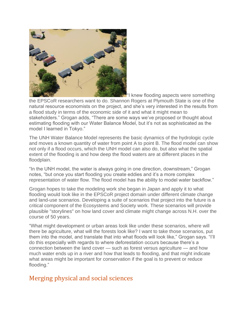

"I knew flooding aspects were something

the EPSCoR researchers want to do. Shannon Rogers at Plymouth State is one of the natural resource economists on the project, and she's very interested in the results from a flood study in terms of the economic side of it and what it might mean to stakeholders." Grogan adds, "There are some ways we've proposed or thought about estimating flooding with our Water Balance Model, but it's not as sophisticated as the model I learned in Tokyo."

The UNH Water Balance Model represents the basic dynamics of the hydrologic cycle and moves a known quantity of water from point A to point B. The flood model can show not only if a flood occurs, which the UNH model can also do, but also what the spatial extent of the flooding is and how deep the flood waters are at different places in the floodplain.

"In the UNH model, the water is always going in one direction, downstream," Grogan notes, "but once you start flooding you create eddies and it's a more complex representation of water flow. The flood model has the ability to model water backflow."

Grogan hopes to take the modeling work she began in Japan and apply it to what flooding would look like in the EPSCoR project domain under different climate change and land-use scenarios. Developing a suite of scenarios that project into the future is a critical component of the Ecosystems and Society work. These scenarios will provide plausible "storylines" on how land cover and climate might change across N.H. over the course of 50 years.

"What might development or urban areas look like under these scenarios, where will there be agriculture, what will the forests look like? I want to take those scenarios, put them into the model, and translate that into what floods will look like," Grogan says. "I'll do this especially with regards to where deforestation occurs because there's a connection between the land cover — such as forest versus agriculture — and how much water ends up in a river and how that leads to flooding, and that might indicate what areas might be important for conservation if the goal is to prevent or reduce flooding."

## Merging physical and social sciences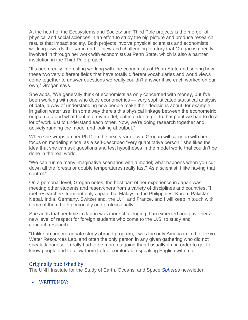At the heart of the Ecosystems and Society and Third Pole projects is the merger of physical and social sciences in an effort to study the big picture and produce research results that impact society. Both projects involve physical scientists and economists working towards the same end — new and challenging territory that Grogan is directly involved in through her work with economists at Penn State, which is also a partner institution in the Third Pole project.

"It's been really interesting working with the economists at Penn State and seeing how these two very different fields that have totally different vocabularies and world views come together to answer questions we really couldn't answer if we each worked on our own," Grogan says.

She adds, "We generally think of economists as only concerned with money, but I've been working with one who does econometrics — very sophisticated statistical analysis of data, a way of understanding how people make their decisions about, for example, irrigation water use. In some way there's this physical linkage between the econometric output data and what I put into my model, but in order to get to that point we had to do a lot of work just to understand each other. Now, we're doing research together and actively running the model and looking at output."

When she wraps up her Ph.D. in the next year or two, Grogan will carry on with her focus on modeling since, as a self-described "very quantitative person," she likes the idea that she can ask questions and test hypotheses in the model world that couldn't be done in the real world.

"We can run so many imaginative scenarios with a model; what happens when you cut down all the forests or double temperatures really fast? As a scientist, I like having that control."

On a personal level, Grogan notes, the best part of her experience in Japan was meeting other students and researchers from a variety of disciplines and countries. "I met researchers from not only Japan, but Malaysia, the Philippines, Korea, Pakistan, Nepal, India, Germany, Switzerland, the U.K. and France, and I will keep in touch with some of them both personally and professionally."

She adds that her time in Japan was more challenging than expected and gave her a new level of respect for foreign students who come to the U.S. to study and conduct research.

"Unlike an undergraduate study abroad program, I was the only American in the Tokyo Water Resources Lab, and often the only person in any given gathering who did not speak Japanese. I really had to be more outgoing than I usually am in order to get to know people and to allow them to feel comfortable speaking English with me."

#### Originally published by:

The UNH Institute for the Study of Earth, Oceans, and Space *[Spheres](http://www.eos.unh.edu/Spheres_1114/index.shtml)* newsletter

• WRITTEN BY: